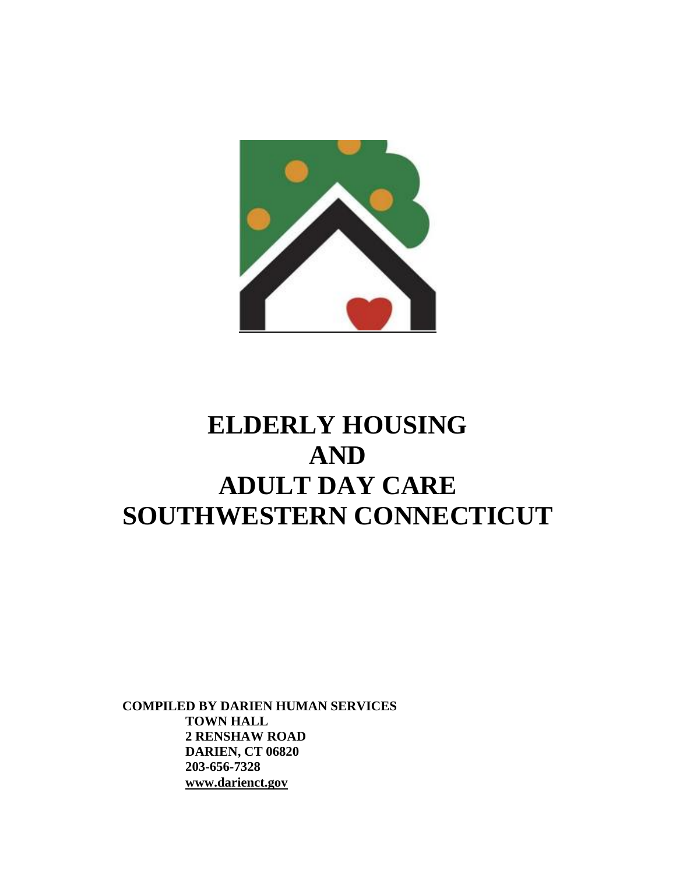

# **ELDERLY HOUSING AND ADULT DAY CARE SOUTHWESTERN CONNECTICUT**

 **COMPILED BY DARIEN HUMAN SERVICES TOWN HALL 2 RENSHAW ROAD DARIEN, CT 06820 203-656-7328 www.darienct.gov**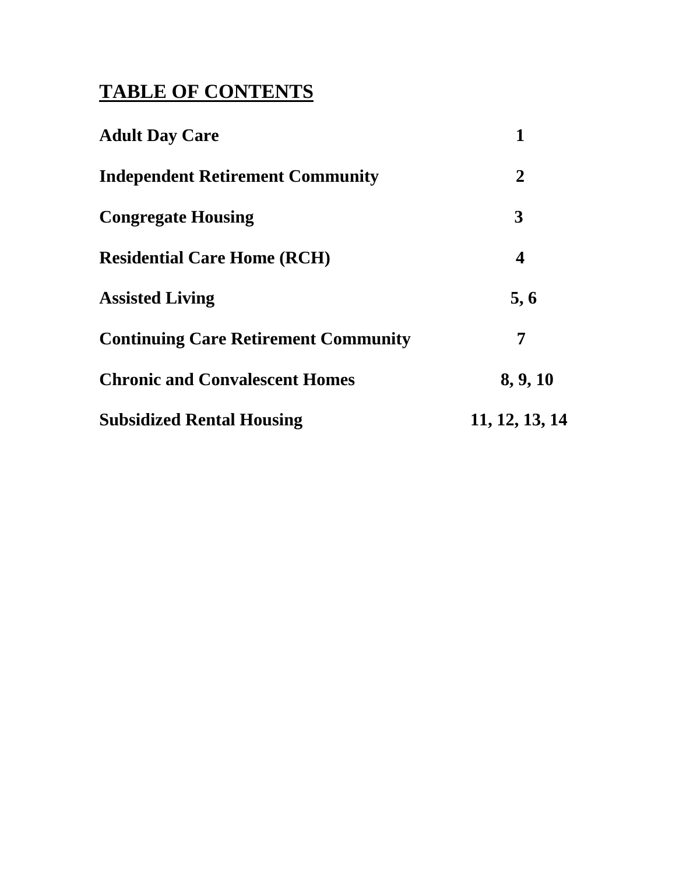# **TABLE OF CONTENTS**

| <b>Adult Day Care</b>                       | 1                       |
|---------------------------------------------|-------------------------|
| <b>Independent Retirement Community</b>     | $\overline{2}$          |
| <b>Congregate Housing</b>                   | 3                       |
| <b>Residential Care Home (RCH)</b>          | $\overline{\mathbf{4}}$ |
| <b>Assisted Living</b>                      | 5, 6                    |
| <b>Continuing Care Retirement Community</b> | 7                       |
| <b>Chronic and Convalescent Homes</b>       | 8, 9, 10                |
| <b>Subsidized Rental Housing</b>            | 11, 12, 13, 14          |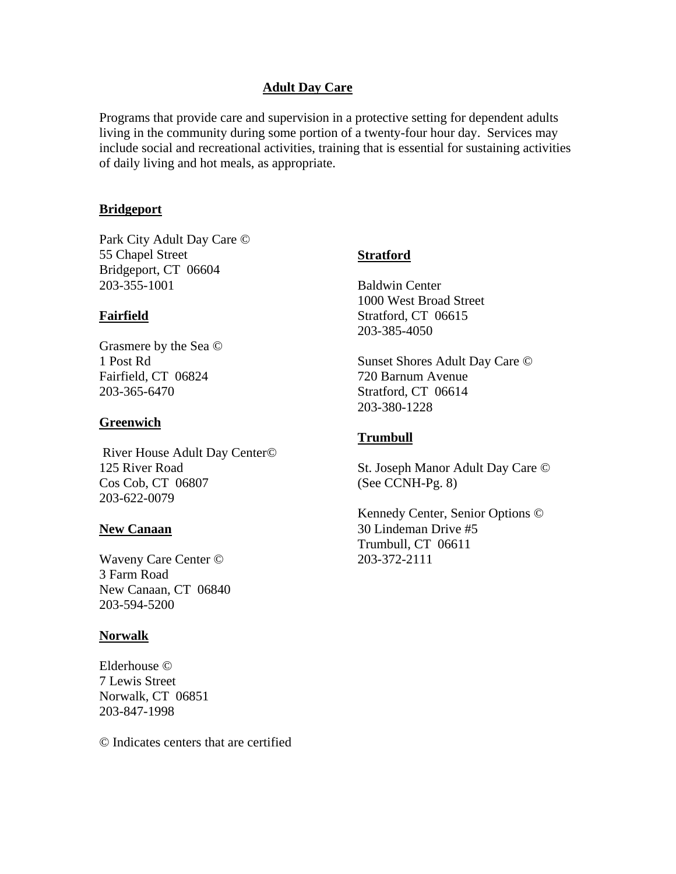# **Adult Day Care**

Programs that provide care and supervision in a protective setting for dependent adults living in the community during some portion of a twenty-four hour day. Services may include social and recreational activities, training that is essential for sustaining activities of daily living and hot meals, as appropriate.

# **Bridgeport**

Park City Adult Day Care © 55 Chapel Street Bridgeport, CT 06604 203-355-1001

# **Fairfield**

Grasmere by the Sea © 1 Post Rd Fairfield, CT 06824 203-365-6470

# **Greenwich**

 River House Adult Day Center© 125 River Road Cos Cob, CT 06807 203-622-0079

### **New Canaan**

Waveny Care Center © 3 Farm Road New Canaan, CT 06840 203-594-5200

### **Norwalk**

Elderhouse © 7 Lewis Street Norwalk, CT 06851 203-847-1998

© Indicates centers that are certified

# **Stratford**

Baldwin Center 1000 West Broad Street Stratford, CT 06615 203-385-4050

Sunset Shores Adult Day Care © 720 Barnum Avenue Stratford, CT 06614 203-380-1228

# **Trumbull**

St. Joseph Manor Adult Day Care © (See CCNH-Pg. 8)

Kennedy Center, Senior Options © 30 Lindeman Drive #5 Trumbull, CT 06611 203-372-2111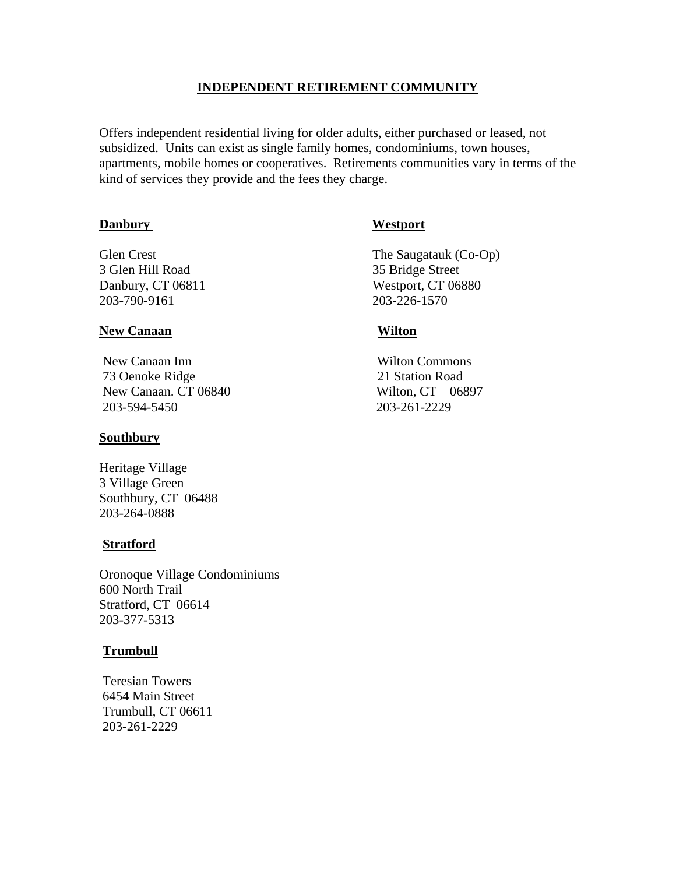# **INDEPENDENT RETIREMENT COMMUNITY**

Offers independent residential living for older adults, either purchased or leased, not subsidized. Units can exist as single family homes, condominiums, town houses, apartments, mobile homes or cooperatives. Retirements communities vary in terms of the kind of services they provide and the fees they charge.

# **Danbury Westport**

3 Glen Hill Road 35 Bridge Street 203-790-9161 203-226-1570

# **New Canaan Wilton**

New Canaan Inn Wilton Commons 73 Oenoke Ridge 21 Station Road New Canaan. CT 06840 Wilton, CT 06897 203-594-5450 203-261-2229

# **Southbury**

Heritage Village 3 Village Green Southbury, CT 06488 203-264-0888

# **Stratford**

Oronoque Village Condominiums 600 North Trail Stratford, CT 06614 203-377-5313

# **Trumbull**

 Teresian Towers 6454 Main Street Trumbull, CT 06611 203-261-2229

Glen Crest The Saugatauk (Co-Op) Danbury, CT 06811 Westport, CT 06880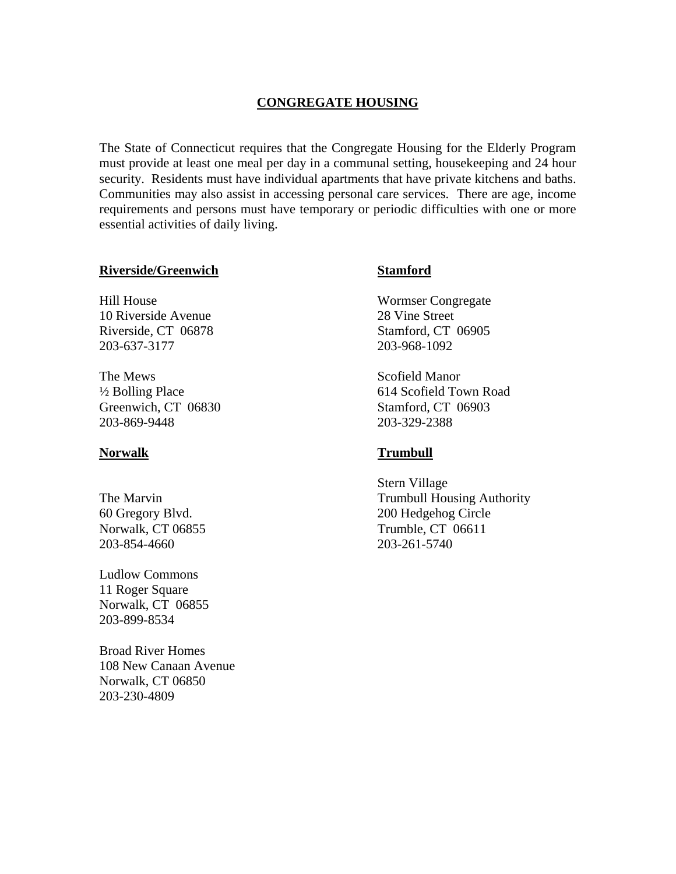# **CONGREGATE HOUSING**

The State of Connecticut requires that the Congregate Housing for the Elderly Program must provide at least one meal per day in a communal setting, housekeeping and 24 hour security. Residents must have individual apartments that have private kitchens and baths. Communities may also assist in accessing personal care services. There are age, income requirements and persons must have temporary or periodic difficulties with one or more essential activities of daily living.

### **Riverside/Greenwich Stamford**

Hill House Wormser Congregate 10 Riverside Avenue 28 Vine Street Riverside, CT 06878 Stamford, CT 06905 203-637-3177 203-968-1092

The Mews Scofield Manor Greenwich, CT 06830 Stamford, CT 06903 203-869-9448 203-329-2388

203-854-4660 203-261-5740

Ludlow Commons 11 Roger Square Norwalk, CT 06855 203-899-8534

Broad River Homes 108 New Canaan Avenue Norwalk, CT 06850 203-230-4809

½ Bolling Place 614 Scofield Town Road

# **Norwalk Trumbull**

 Stern Village The Marvin Trumbull Housing Authority 60 Gregory Blvd. 200 Hedgehog Circle Norwalk, CT 06855 Trumble, CT 06611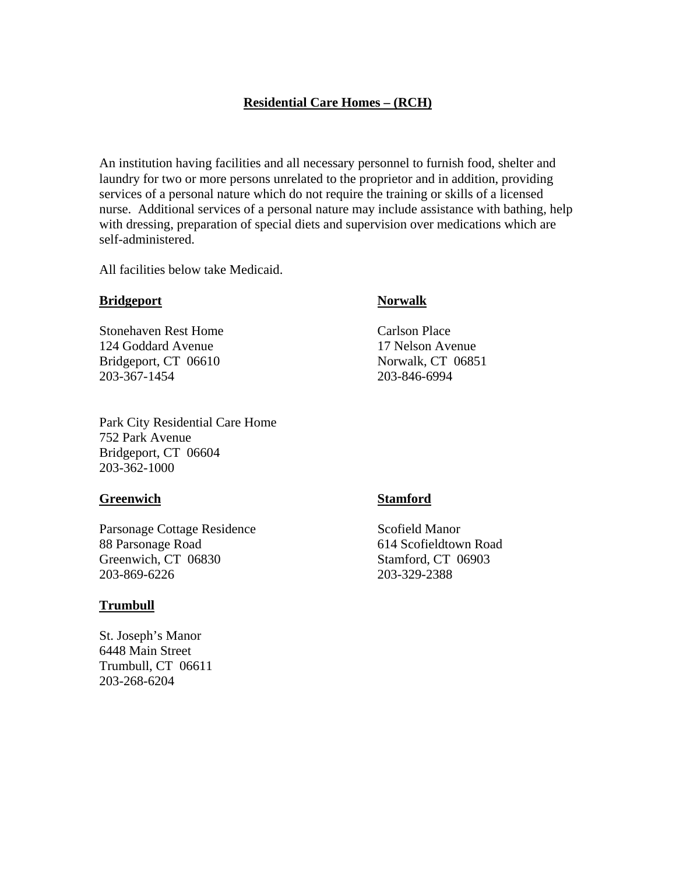# **Residential Care Homes – (RCH)**

An institution having facilities and all necessary personnel to furnish food, shelter and laundry for two or more persons unrelated to the proprietor and in addition, providing services of a personal nature which do not require the training or skills of a licensed nurse. Additional services of a personal nature may include assistance with bathing, help with dressing, preparation of special diets and supervision over medications which are self-administered.

All facilities below take Medicaid.

### **Bridgeport** Norwalk

Stonehaven Rest Home Carlson Place 124 Goddard Avenue 17 Nelson Avenue Bridgeport, CT 06610 Norwalk, CT 06851 203-367-1454 203-846-6994

Park City Residential Care Home 752 Park Avenue Bridgeport, CT 06604 203-362-1000

#### **Greenwich Stamford**

Parsonage Cottage Residence Scofield Manor 88 Parsonage Road 614 Scofieldtown Road Greenwich, CT 06830 Stamford, CT 06903 203-869-6226 203-329-2388

### **Trumbull**

St. Joseph's Manor 6448 Main Street Trumbull, CT 06611 203-268-6204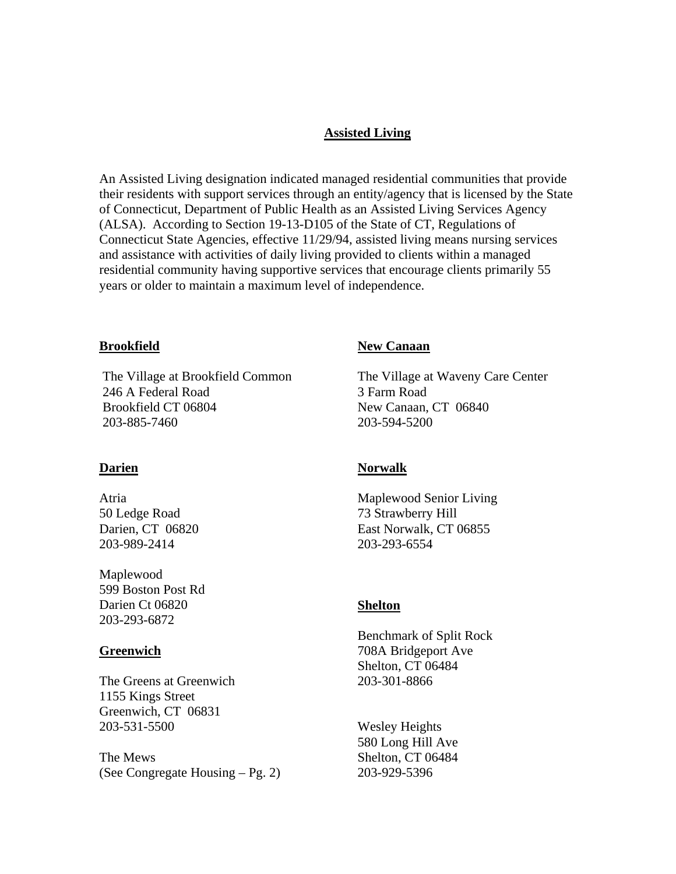# **Assisted Living**

An Assisted Living designation indicated managed residential communities that provide their residents with support services through an entity/agency that is licensed by the State of Connecticut, Department of Public Health as an Assisted Living Services Agency (ALSA). According to Section 19-13-D105 of the State of CT, Regulations of Connecticut State Agencies, effective 11/29/94, assisted living means nursing services and assistance with activities of daily living provided to clients within a managed residential community having supportive services that encourage clients primarily 55 years or older to maintain a maximum level of independence.

#### **Brookfield**

 The Village at Brookfield Common 246 A Federal Road Brookfield CT 06804 203-885-7460

#### **Darien**

Atria 50 Ledge Road Darien, CT 06820 203-989-2414

Maplewood 599 Boston Post Rd Darien Ct 06820 203-293-6872

#### **Greenwich**

The Greens at Greenwich 1155 Kings Street Greenwich, CT 06831 203-531-5500

The Mews (See Congregate Housing – Pg. 2)

#### **New Canaan**

The Village at Waveny Care Center 3 Farm Road New Canaan, CT 06840 203-594-5200

### **Norwalk**

Maplewood Senior Living 73 Strawberry Hill East Norwalk, CT 06855 203-293-6554

#### **Shelton**

Benchmark of Split Rock 708A Bridgeport Ave Shelton, CT 06484 203-301-8866

Wesley Heights 580 Long Hill Ave Shelton, CT 06484 203-929-5396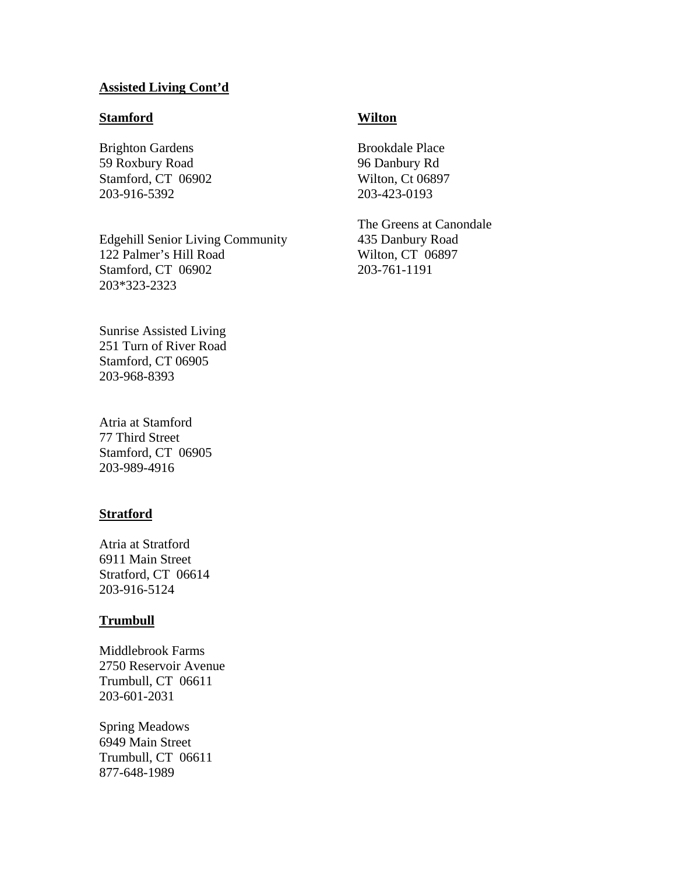# **Assisted Living Cont'd**

### **Stamford**

Brighton Gardens 59 Roxbury Road Stamford, CT 06902 203-916-5392

Edgehill Senior Living Community 122 Palmer's Hill Road Stamford, CT 06902 203\*323-2323

Sunrise Assisted Living 251 Turn of River Road Stamford, CT 06905 203-968-8393

Atria at Stamford 77 Third Street Stamford, CT 06905 203-989-4916

### **Stratford**

Atria at Stratford 6911 Main Street Stratford, CT 06614 203-916-5124

#### **Trumbull**

Middlebrook Farms 2750 Reservoir Avenue Trumbull, CT 06611 203-601-2031

Spring Meadows 6949 Main Street Trumbull, CT 06611 877-648-1989

# **Wilton**

Brookdale Place 96 Danbury Rd Wilton, Ct 06897 203-423-0193

The Greens at Canondale 435 Danbury Road Wilton, CT 06897 203-761-1191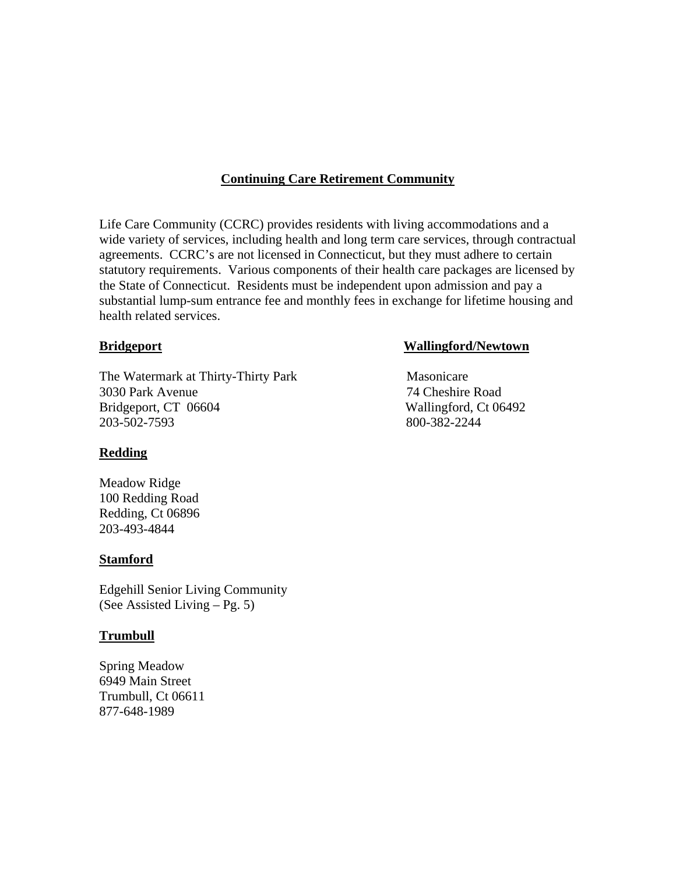# **Continuing Care Retirement Community**

Life Care Community (CCRC) provides residents with living accommodations and a wide variety of services, including health and long term care services, through contractual agreements. CCRC's are not licensed in Connecticut, but they must adhere to certain statutory requirements. Various components of their health care packages are licensed by the State of Connecticut. Residents must be independent upon admission and pay a substantial lump-sum entrance fee and monthly fees in exchange for lifetime housing and health related services.

The Watermark at Thirty-Thirty Park Masonicare 3030 Park Avenue 74 Cheshire Road Bridgeport, CT 06604 Wallingford, Ct 06492 203-502-7593 800-382-2244

# **Redding**

Meadow Ridge 100 Redding Road Redding, Ct 06896 203-493-4844

# **Stamford**

Edgehill Senior Living Community (See Assisted Living – Pg. 5)

# **Trumbull**

Spring Meadow 6949 Main Street Trumbull, Ct 06611 877-648-1989

# **Bridgeport Wallingford/Newtown**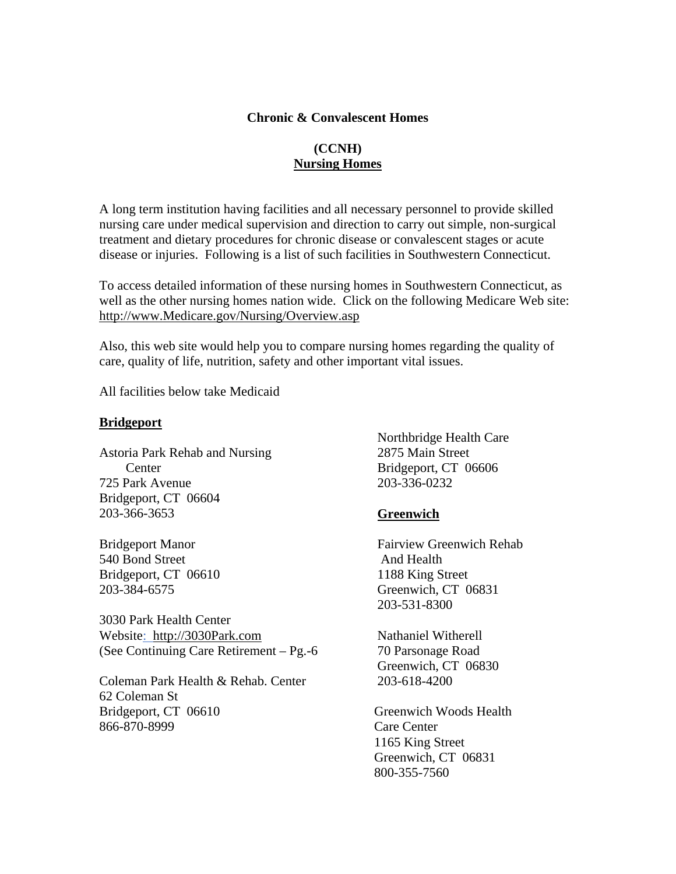# **Chronic & Convalescent Homes**

# **(CCNH) Nursing Homes**

A long term institution having facilities and all necessary personnel to provide skilled nursing care under medical supervision and direction to carry out simple, non-surgical treatment and dietary procedures for chronic disease or convalescent stages or acute disease or injuries. Following is a list of such facilities in Southwestern Connecticut.

To access detailed information of these nursing homes in Southwestern Connecticut, as well as the other nursing homes nation wide. Click on the following Medicare Web site: http://www.Medicare.gov/Nursing/Overview.asp

Also, this web site would help you to compare nursing homes regarding the quality of care, quality of life, nutrition, safety and other important vital issues.

All facilities below take Medicaid

# **Bridgeport**

Astoria Park Rehab and Nursing 2875 Main Street Center 725 Park Avenue Bridgeport, CT 06604 203-366-3653

Bridgeport Manor 540 Bond Street Bridgeport, CT 06610 203-384-6575

3030 Park Health Center Website: http://3030Park.com (See Continuing Care Retirement – Pg.-6

Coleman Park Health & Rehab. Center 62 Coleman St Bridgeport, CT 06610 866-870-8999

 Northbridge Health Care Bridgeport, CT 06606 203-336-0232

# **Greenwich**

 Fairview Greenwich Rehab And Health 1188 King Street Greenwich, CT 06831 203-531-8300

 Nathaniel Witherell 70 Parsonage Road Greenwich, CT 06830 203-618-4200

 Greenwich Woods Health Care Center 1165 King Street Greenwich, CT 06831 800-355-7560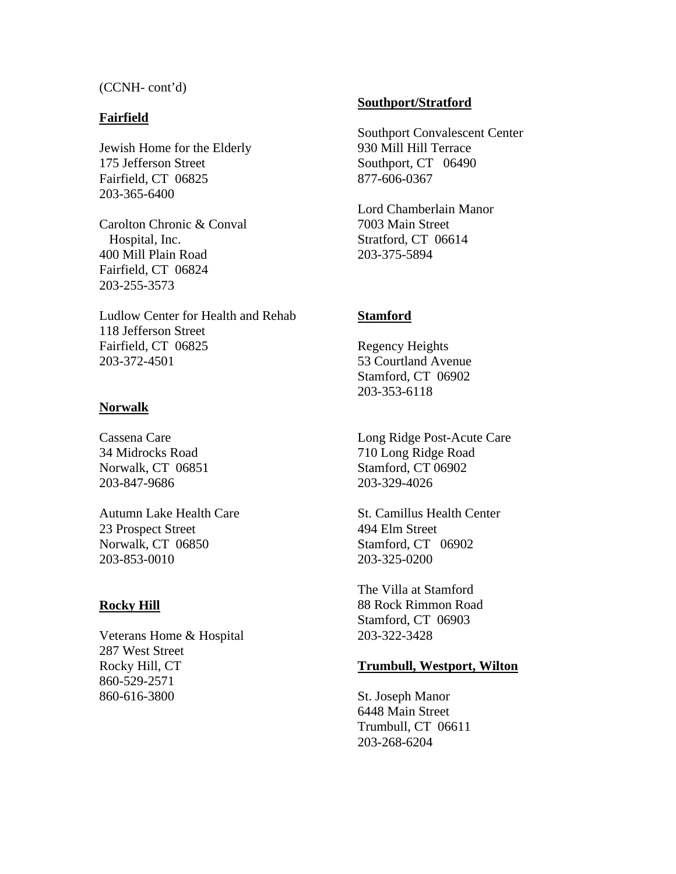(CCNH- cont'd)

# **Fairfield**

Jewish Home for the Elderly 175 Jefferson Street Fairfield, CT 06825 203-365-6400

Carolton Chronic & Conval Hospital, Inc. 400 Mill Plain Road Fairfield, CT 06824 203-255-3573

Ludlow Center for Health and Rehab 118 Jefferson Street Fairfield, CT 06825 203-372-4501

# **Norwalk**

Cassena Care 34 Midrocks Road Norwalk, CT 06851 203-847-9686

Autumn Lake Health Care 23 Prospect Street Norwalk, CT 06850 203-853-0010

# **Rocky Hill**

Veterans Home & Hospital 287 West Street Rocky Hill, CT 860-529-2571 860-616-3800

# **Southport/Stratford**

Southport Convalescent Center 930 Mill Hill Terrace Southport, CT 06490 877-606-0367

Lord Chamberlain Manor 7003 Main Street Stratford, CT 06614 203-375-5894

# **Stamford**

Regency Heights 53 Courtland Avenue Stamford, CT 06902 203-353-6118

Long Ridge Post-Acute Care 710 Long Ridge Road Stamford, CT 06902 203-329-4026

St. Camillus Health Center 494 Elm Street Stamford, CT 06902 203-325-0200

The Villa at Stamford 88 Rock Rimmon Road Stamford, CT 06903 203-322-3428

# **Trumbull, Westport, Wilton**

St. Joseph Manor 6448 Main Street Trumbull, CT 06611 203-268-6204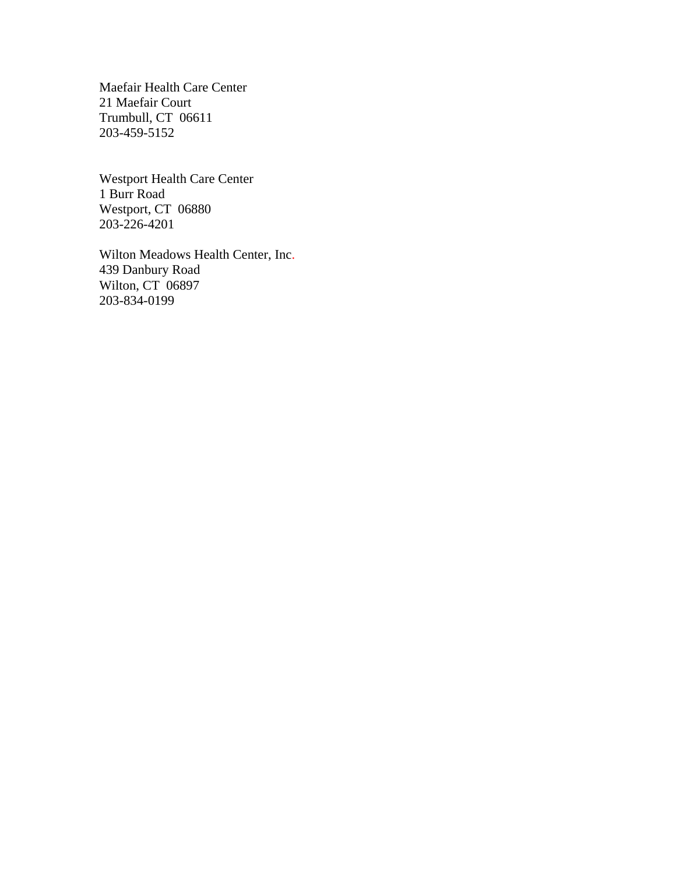Maefair Health Care Center 21 Maefair Court Trumbull, CT 06611 203-459-5152

Westport Health Care Center 1 Burr Road Westport, CT 06880 203-226-4201

Wilton Meadows Health Center, Inc. 439 Danbury Road Wilton, CT 06897 203-834-0199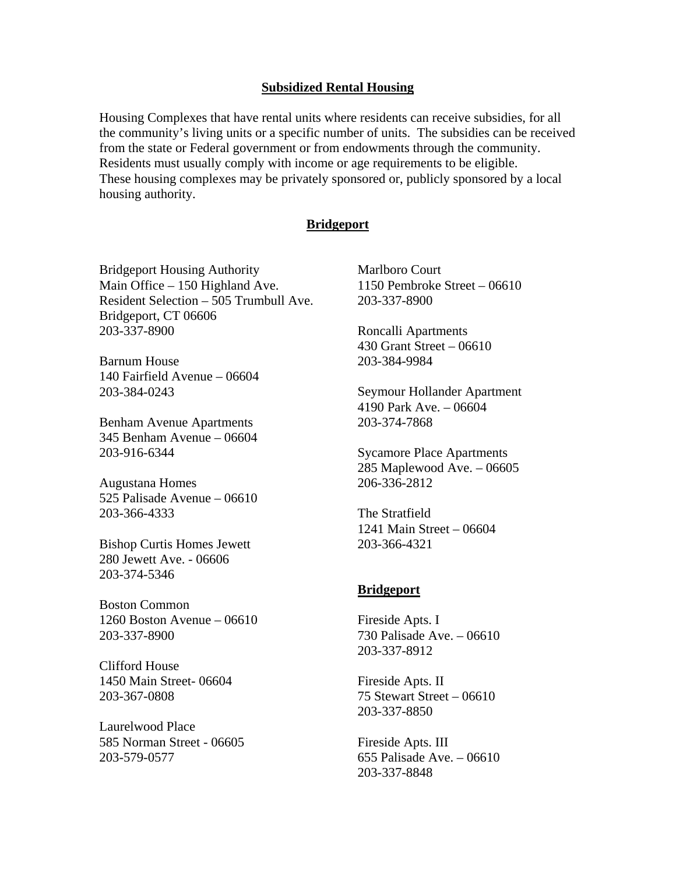### **Subsidized Rental Housing**

Housing Complexes that have rental units where residents can receive subsidies, for all the community's living units or a specific number of units. The subsidies can be received from the state or Federal government or from endowments through the community. Residents must usually comply with income or age requirements to be eligible. These housing complexes may be privately sponsored or, publicly sponsored by a local housing authority.

# **Bridgeport**

Bridgeport Housing Authority Main Office – 150 Highland Ave. Resident Selection – 505 Trumbull Ave. Bridgeport, CT 06606 203-337-8900

Barnum House 140 Fairfield Avenue – 06604 203-384-0243

Benham Avenue Apartments 345 Benham Avenue – 06604 203-916-6344

Augustana Homes 525 Palisade Avenue – 06610 203-366-4333

Bishop Curtis Homes Jewett 280 Jewett Ave. - 06606 203-374-5346

Boston Common 1260 Boston Avenue – 06610 203-337-8900

Clifford House 1450 Main Street- 06604 203-367-0808

Laurelwood Place 585 Norman Street - 06605 203-579-0577

Marlboro Court 1150 Pembroke Street – 06610 203-337-8900

Roncalli Apartments 430 Grant Street – 06610 203-384-9984

Seymour Hollander Apartment 4190 Park Ave. – 06604 203-374-7868

Sycamore Place Apartments 285 Maplewood Ave. – 06605 206-336-2812

The Stratfield 1241 Main Street – 06604 203-366-4321

### **Bridgeport**

Fireside Apts. I 730 Palisade Ave. – 06610 203-337-8912

Fireside Apts. II 75 Stewart Street – 06610 203-337-8850

Fireside Apts. III 655 Palisade Ave. – 06610 203-337-8848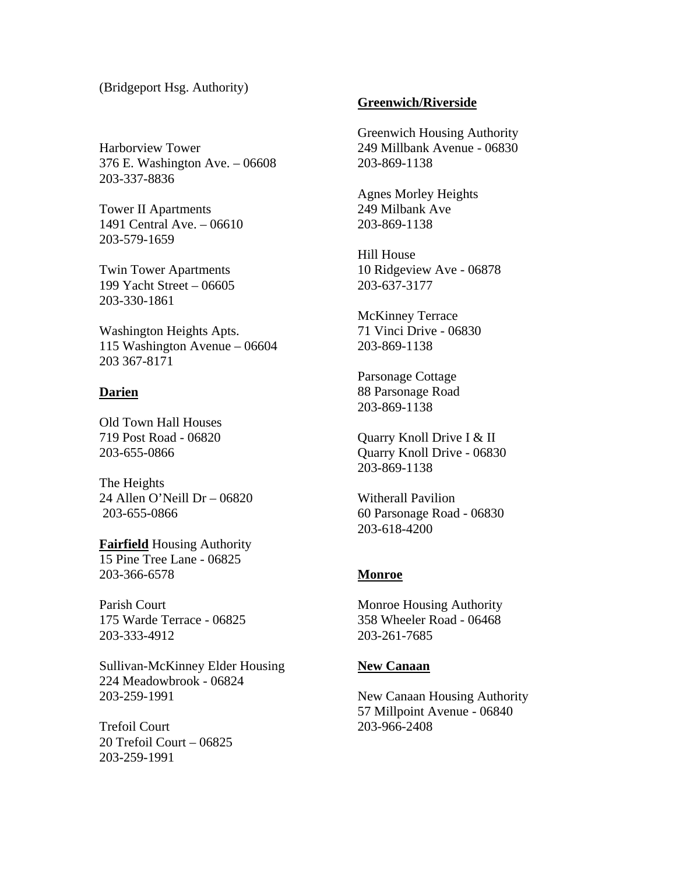# (Bridgeport Hsg. Authority)

Harborview Tower 376 E. Washington Ave. – 06608 203-337-8836

Tower II Apartments 1491 Central Ave. – 06610 203-579-1659

Twin Tower Apartments 199 Yacht Street – 06605 203-330-1861

Washington Heights Apts. 115 Washington Avenue – 06604 203 367-8171

#### **Darien**

Old Town Hall Houses 719 Post Road - 06820 203-655-0866

The Heights 24 Allen O'Neill Dr – 06820 203-655-0866

**Fairfield** Housing Authority 15 Pine Tree Lane - 06825 203-366-6578

Parish Court 175 Warde Terrace - 06825 203-333-4912

Sullivan-McKinney Elder Housing 224 Meadowbrook - 06824 203-259-1991

Trefoil Court 20 Trefoil Court – 06825 203-259-1991

#### **Greenwich/Riverside**

Greenwich Housing Authority 249 Millbank Avenue - 06830 203-869-1138

Agnes Morley Heights 249 Milbank Ave 203-869-1138

Hill House 10 Ridgeview Ave - 06878 203-637-3177

McKinney Terrace 71 Vinci Drive - 06830 203-869-1138

Parsonage Cottage 88 Parsonage Road 203-869-1138

Quarry Knoll Drive I & II Quarry Knoll Drive - 06830 203-869-1138

Witherall Pavilion 60 Parsonage Road - 06830 203-618-4200

#### **Monroe**

Monroe Housing Authority 358 Wheeler Road - 06468 203-261-7685

#### **New Canaan**

New Canaan Housing Authority 57 Millpoint Avenue - 06840 203-966-2408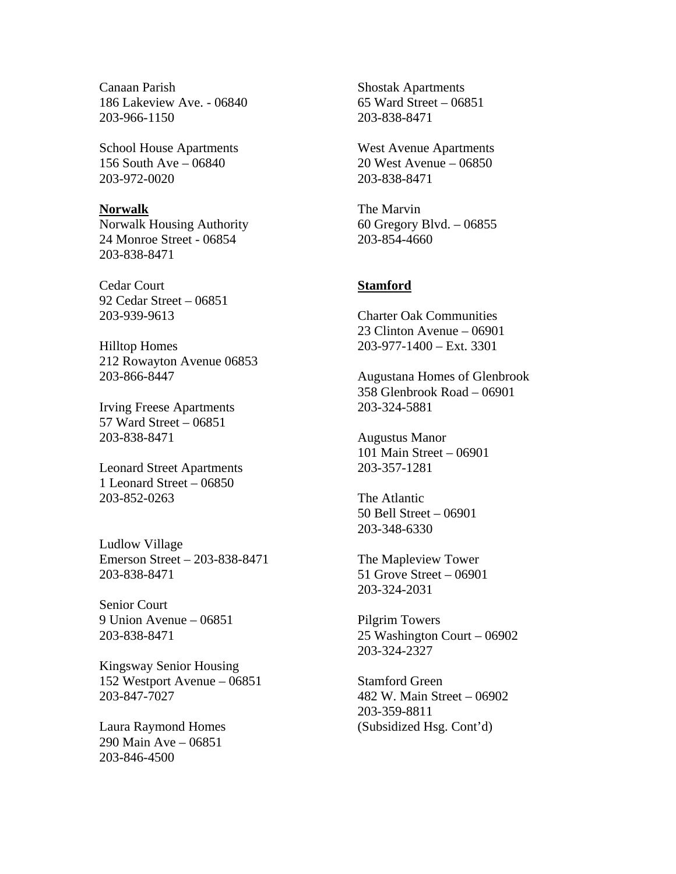Canaan Parish 186 Lakeview Ave. - 06840 203-966-1150

School House Apartments 156 South Ave – 06840 203-972-0020

#### **Norwalk**

Norwalk Housing Authority 24 Monroe Street - 06854 203-838-8471

Cedar Court 92 Cedar Street – 06851 203-939-9613

Hilltop Homes 212 Rowayton Avenue 06853 203-866-8447

Irving Freese Apartments 57 Ward Street – 06851 203-838-8471

Leonard Street Apartments 1 Leonard Street – 06850 203-852-0263

Ludlow Village Emerson Street – 203-838-8471 203-838-8471

Senior Court 9 Union Avenue – 06851 203-838-8471

Kingsway Senior Housing 152 Westport Avenue – 06851 203-847-7027

Laura Raymond Homes 290 Main Ave – 06851 203-846-4500

Shostak Apartments 65 Ward Street – 06851 203-838-8471

West Avenue Apartments 20 West Avenue – 06850 203-838-8471

The Marvin 60 Gregory Blvd. – 06855 203-854-4660

# **Stamford**

Charter Oak Communities 23 Clinton Avenue – 06901 203-977-1400 – Ext. 3301

Augustana Homes of Glenbrook 358 Glenbrook Road – 06901 203-324-5881

Augustus Manor 101 Main Street – 06901 203-357-1281

The Atlantic 50 Bell Street – 06901 203-348-6330

The Mapleview Tower 51 Grove Street – 06901 203-324-2031

Pilgrim Towers 25 Washington Court – 06902 203-324-2327

Stamford Green 482 W. Main Street – 06902 203-359-8811 (Subsidized Hsg. Cont'd)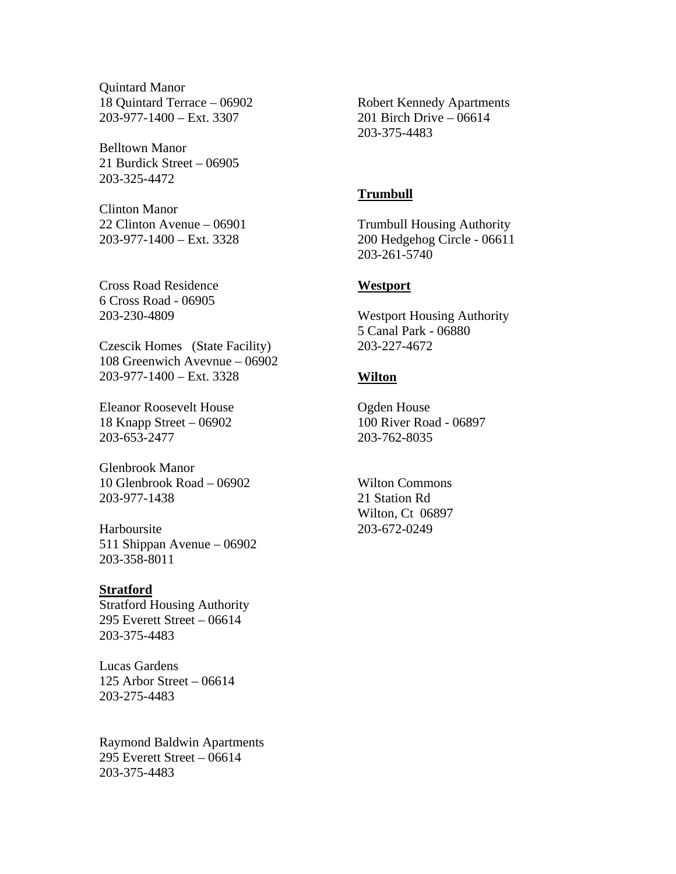Quintard Manor 18 Quintard Terrace – 06902 203-977-1400 – Ext. 3307

Belltown Manor 21 Burdick Street – 06905 203-325-4472

Clinton Manor 22 Clinton Avenue – 06901 203-977-1400 – Ext. 3328

Cross Road Residence 6 Cross Road - 06905 203-230-4809

Czescik Homes (State Facility) 108 Greenwich Avevnue – 06902 203-977-1400 – Ext. 3328

Eleanor Roosevelt House 18 Knapp Street – 06902 203-653-2477

Glenbrook Manor 10 Glenbrook Road – 06902 203-977-1438

Harboursite 511 Shippan Avenue – 06902 203-358-8011

# **Stratford**

Stratford Housing Authority 295 Everett Street – 06614 203-375-4483

Lucas Gardens 125 Arbor Street – 06614 203-275-4483

Raymond Baldwin Apartments 295 Everett Street – 06614 203-375-4483

Robert Kennedy Apartments 201 Birch Drive – 06614 203-375-4483

# **Trumbull**

Trumbull Housing Authority 200 Hedgehog Circle - 06611 203-261-5740

#### **Westport**

Westport Housing Authority 5 Canal Park - 06880 203-227-4672

# **Wilton**

Ogden House 100 River Road - 06897 203-762-8035

Wilton Commons 21 Station Rd Wilton, Ct 06897 203-672-0249